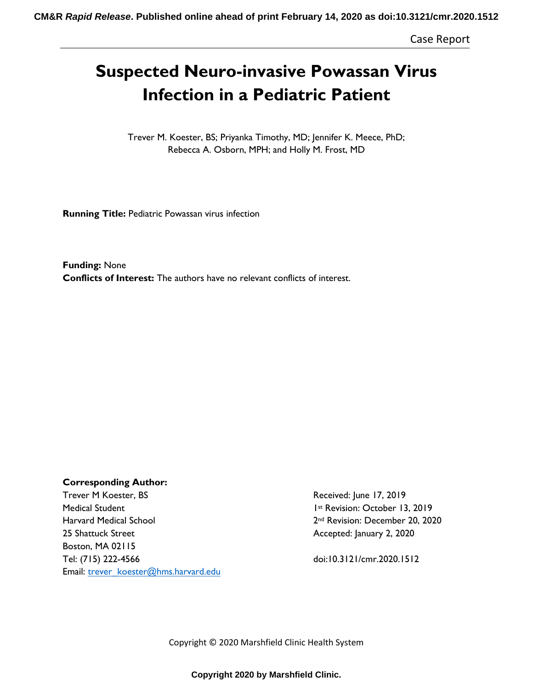Case Report

# **Suspected Neuro-invasive Powassan Virus Infection in a Pediatric Patient**

Trever M. Koester, BS; Priyanka Timothy, MD; Jennifer K. Meece, PhD; Rebecca A. Osborn, MPH; and Holly M. Frost, MD

**Running Title:** Pediatric Powassan virus infection

**Funding:** None **Conflicts of Interest:** The authors have no relevant conflicts of interest.

## **Corresponding Author:**

Trever M Koester, BS Trever M Koester, BS Medical Student 1st Revision: October 13, 2019 Harvard Medical School 2002 2nd Revision: December 20, 2020 25 Shattuck Street **Accepted: January 2, 2020** Boston, MA 02115 Tel: (715) 222-4566 doi:10.3121/cmr.2020.1512 Email: [trever\\_koester@hms.harvard.edu](mailto:Holly.frost@dhha.org)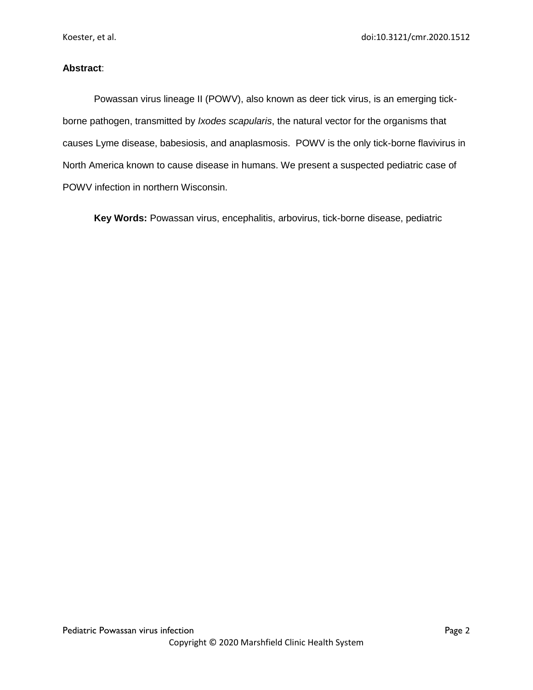## **Abstract**:

Powassan virus lineage II (POWV), also known as deer tick virus, is an emerging tickborne pathogen, transmitted by *Ixodes scapularis*, the natural vector for the organisms that causes Lyme disease, babesiosis, and anaplasmosis. POWV is the only tick-borne flavivirus in North America known to cause disease in humans. We present a suspected pediatric case of POWV infection in northern Wisconsin.

**Key Words:** Powassan virus, encephalitis, arbovirus, tick-borne disease, pediatric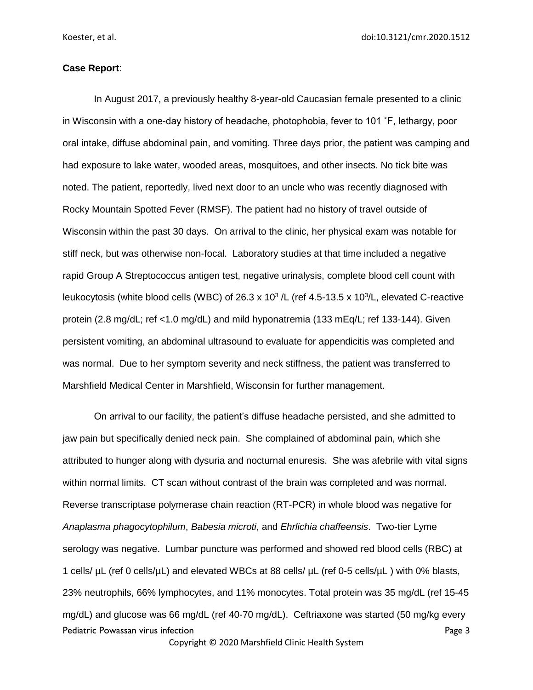Koester, et al. doi:10.3121/cmr.2020.1512

#### **Case Report**:

In August 2017, a previously healthy 8-year-old Caucasian female presented to a clinic in Wisconsin with a one-day history of headache, photophobia, fever to 101 ˚F, lethargy, poor oral intake, diffuse abdominal pain, and vomiting. Three days prior, the patient was camping and had exposure to lake water, wooded areas, mosquitoes, and other insects. No tick bite was noted. The patient, reportedly, lived next door to an uncle who was recently diagnosed with Rocky Mountain Spotted Fever (RMSF). The patient had no history of travel outside of Wisconsin within the past 30 days. On arrival to the clinic, her physical exam was notable for stiff neck, but was otherwise non-focal. Laboratory studies at that time included a negative rapid Group A Streptococcus antigen test, negative urinalysis, complete blood cell count with leukocytosis (white blood cells (WBC) of 26.3 x 10<sup>3</sup>/L (ref 4.5-13.5 x 10<sup>3</sup>/L, elevated C-reactive protein (2.8 mg/dL; ref <1.0 mg/dL) and mild hyponatremia (133 mEq/L; ref 133-144). Given persistent vomiting, an abdominal ultrasound to evaluate for appendicitis was completed and was normal. Due to her symptom severity and neck stiffness, the patient was transferred to Marshfield Medical Center in Marshfield, Wisconsin for further management.

Pediatric Powassan virus infection Page 3 Copyright © 2020 Marshfield Clinic Health System On arrival to our facility, the patient's diffuse headache persisted, and she admitted to jaw pain but specifically denied neck pain. She complained of abdominal pain, which she attributed to hunger along with dysuria and nocturnal enuresis. She was afebrile with vital signs within normal limits. CT scan without contrast of the brain was completed and was normal. Reverse transcriptase polymerase chain reaction (RT-PCR) in whole blood was negative for *Anaplasma phagocytophilum*, *Babesia microti*, and *Ehrlichia chaffeensis*. Two-tier Lyme serology was negative. Lumbar puncture was performed and showed red blood cells (RBC) at 1 cells/ µL (ref 0 cells/µL) and elevated WBCs at 88 cells/ µL (ref 0-5 cells/µL ) with 0% blasts, 23% neutrophils, 66% lymphocytes, and 11% monocytes. Total protein was 35 mg/dL (ref 15-45 mg/dL) and glucose was 66 mg/dL (ref 40-70 mg/dL). Ceftriaxone was started (50 mg/kg every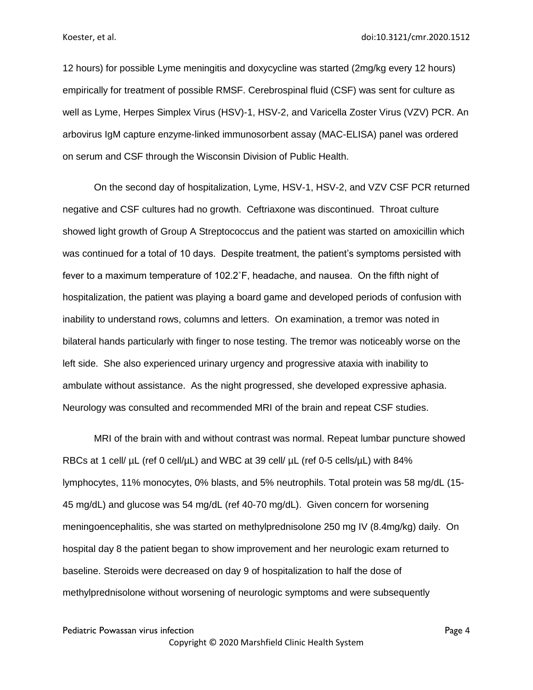12 hours) for possible Lyme meningitis and doxycycline was started (2mg/kg every 12 hours) empirically for treatment of possible RMSF. Cerebrospinal fluid (CSF) was sent for culture as well as Lyme, Herpes Simplex Virus (HSV)-1, HSV-2, and Varicella Zoster Virus (VZV) PCR. An arbovirus IgM capture enzyme-linked immunosorbent assay (MAC-ELISA) panel was ordered on serum and CSF through the Wisconsin Division of Public Health.

On the second day of hospitalization, Lyme, HSV-1, HSV-2, and VZV CSF PCR returned negative and CSF cultures had no growth. Ceftriaxone was discontinued. Throat culture showed light growth of Group A Streptococcus and the patient was started on amoxicillin which was continued for a total of 10 days. Despite treatment, the patient's symptoms persisted with fever to a maximum temperature of 102.2˚F, headache, and nausea. On the fifth night of hospitalization, the patient was playing a board game and developed periods of confusion with inability to understand rows, columns and letters. On examination, a tremor was noted in bilateral hands particularly with finger to nose testing. The tremor was noticeably worse on the left side. She also experienced urinary urgency and progressive ataxia with inability to ambulate without assistance. As the night progressed, she developed expressive aphasia. Neurology was consulted and recommended MRI of the brain and repeat CSF studies.

MRI of the brain with and without contrast was normal. Repeat lumbar puncture showed RBCs at 1 cell/  $\mu$ L (ref 0 cell/ $\mu$ L) and WBC at 39 cell/  $\mu$ L (ref 0-5 cells/ $\mu$ L) with 84% lymphocytes, 11% monocytes, 0% blasts, and 5% neutrophils. Total protein was 58 mg/dL (15- 45 mg/dL) and glucose was 54 mg/dL (ref 40-70 mg/dL). Given concern for worsening meningoencephalitis, she was started on methylprednisolone 250 mg IV (8.4mg/kg) daily. On hospital day 8 the patient began to show improvement and her neurologic exam returned to baseline. Steroids were decreased on day 9 of hospitalization to half the dose of methylprednisolone without worsening of neurologic symptoms and were subsequently

Pediatric Powassan virus infection Page 4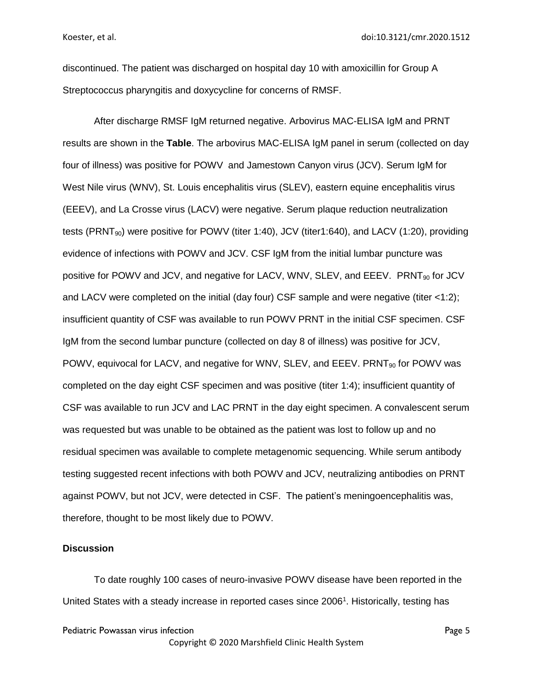discontinued. The patient was discharged on hospital day 10 with amoxicillin for Group A Streptococcus pharyngitis and doxycycline for concerns of RMSF.

After discharge RMSF IgM returned negative. Arbovirus MAC-ELISA IgM and PRNT results are shown in the **Table**. The arbovirus MAC-ELISA IgM panel in serum (collected on day four of illness) was positive for POWV and Jamestown Canyon virus (JCV). Serum IgM for West Nile virus (WNV), St. Louis encephalitis virus (SLEV), eastern equine encephalitis virus (EEEV), and La Crosse virus (LACV) were negative. Serum plaque reduction neutralization tests (PRNT<sub>90</sub>) were positive for POWV (titer 1:40), JCV (titer 1:640), and LACV (1:20), providing evidence of infections with POWV and JCV. CSF IgM from the initial lumbar puncture was positive for POWV and JCV, and negative for LACV, WNV, SLEV, and EEEV. PRNT<sub>90</sub> for JCV and LACV were completed on the initial (day four) CSF sample and were negative (titer <1:2); insufficient quantity of CSF was available to run POWV PRNT in the initial CSF specimen. CSF IgM from the second lumbar puncture (collected on day 8 of illness) was positive for JCV, POWV, equivocal for LACV, and negative for WNV, SLEV, and EEEV. PRNT<sub>90</sub> for POWV was completed on the day eight CSF specimen and was positive (titer 1:4); insufficient quantity of CSF was available to run JCV and LAC PRNT in the day eight specimen. A convalescent serum was requested but was unable to be obtained as the patient was lost to follow up and no residual specimen was available to complete metagenomic sequencing. While serum antibody testing suggested recent infections with both POWV and JCV, neutralizing antibodies on PRNT against POWV, but not JCV, were detected in CSF. The patient's meningoencephalitis was, therefore, thought to be most likely due to POWV.

#### **Discussion**

To date roughly 100 cases of neuro-invasive POWV disease have been reported in the United States with a steady increase in reported cases since 2006<sup>1</sup>. Historically, testing has

```
Pediatric Powassan virus infection Page 5 and Page 5 and Page 5 and Page 5 and Page 5 and Page 5 and Page 5 and Page 5 and Page 5 and Page 5 and Page 5 and Page 5 and Page 5 and Page 5 and Page 5 and Page 5 and Page 5 an
```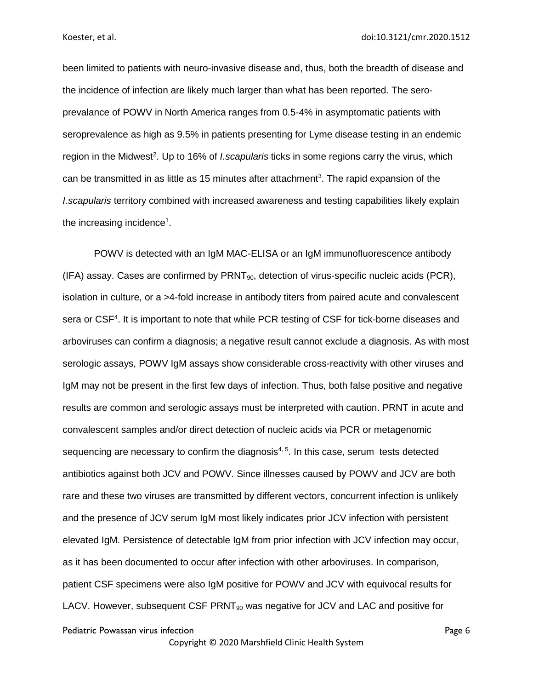been limited to patients with neuro-invasive disease and, thus, both the breadth of disease and the incidence of infection are likely much larger than what has been reported. The seroprevalance of POWV in North America ranges from 0.5-4% in asymptomatic patients with seroprevalence as high as 9.5% in patients presenting for Lyme disease testing in an endemic region in the Midwest<sup>2</sup>. Up to 16% of *I.scapularis* ticks in some regions carry the virus, which can be transmitted in as little as 15 minutes after attachment<sup>3</sup>. The rapid expansion of the *I.scapularis* territory combined with increased awareness and testing capabilities likely explain the increasing incidence<sup>1</sup>.

Pediatric Powassan virus infection **Page 6** POWV is detected with an IgM MAC-ELISA or an IgM immunofluorescence antibody  $(IFA)$  assay. Cases are confirmed by  $PRNT_{90}$ , detection of virus-specific nucleic acids  $(PCR)$ , isolation in culture, or a >4-fold increase in antibody titers from paired acute and convalescent sera or CSF<sup>4</sup>. It is important to note that while PCR testing of CSF for tick-borne diseases and arboviruses can confirm a diagnosis; a negative result cannot exclude a diagnosis. As with most serologic assays, POWV IgM assays show considerable cross-reactivity with other viruses and IgM may not be present in the first few days of infection. Thus, both false positive and negative results are common and serologic assays must be interpreted with caution. PRNT in acute and convalescent samples and/or direct detection of nucleic acids via PCR or metagenomic sequencing are necessary to confirm the diagnosis<sup>4, 5</sup>. In this case, serum tests detected antibiotics against both JCV and POWV. Since illnesses caused by POWV and JCV are both rare and these two viruses are transmitted by different vectors, concurrent infection is unlikely and the presence of JCV serum IgM most likely indicates prior JCV infection with persistent elevated IgM. Persistence of detectable IgM from prior infection with JCV infection may occur, as it has been documented to occur after infection with other arboviruses. In comparison, patient CSF specimens were also IgM positive for POWV and JCV with equivocal results for LACV. However, subsequent CSF  $PRNT_{90}$  was negative for JCV and LAC and positive for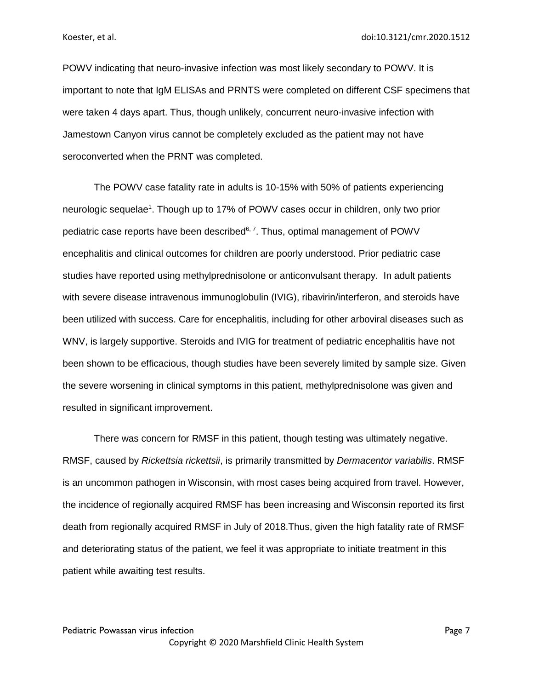POWV indicating that neuro-invasive infection was most likely secondary to POWV. It is important to note that IgM ELISAs and PRNTS were completed on different CSF specimens that were taken 4 days apart. Thus, though unlikely, concurrent neuro-invasive infection with Jamestown Canyon virus cannot be completely excluded as the patient may not have seroconverted when the PRNT was completed.

The POWV case fatality rate in adults is 10-15% with 50% of patients experiencing neurologic sequelae<sup>1</sup>. Though up to 17% of POWV cases occur in children, only two prior pediatric case reports have been described<sup>6, 7</sup>. Thus, optimal management of POWV encephalitis and clinical outcomes for children are poorly understood. Prior pediatric case studies have reported using methylprednisolone or anticonvulsant therapy. In adult patients with severe disease intravenous immunoglobulin (IVIG), ribavirin/interferon, and steroids have been utilized with success. Care for encephalitis, including for other arboviral diseases such as WNV, is largely supportive. Steroids and IVIG for treatment of pediatric encephalitis have not been shown to be efficacious, though studies have been severely limited by sample size. Given the severe worsening in clinical symptoms in this patient, methylprednisolone was given and resulted in significant improvement.

There was concern for RMSF in this patient, though testing was ultimately negative. RMSF, caused by *Rickettsia rickettsii*, is primarily transmitted by *Dermacentor variabilis*. RMSF is an uncommon pathogen in Wisconsin, with most cases being acquired from travel. However, the incidence of regionally acquired RMSF has been increasing and Wisconsin reported its first death from regionally acquired RMSF in July of 2018.Thus, given the high fatality rate of RMSF and deteriorating status of the patient, we feel it was appropriate to initiate treatment in this patient while awaiting test results.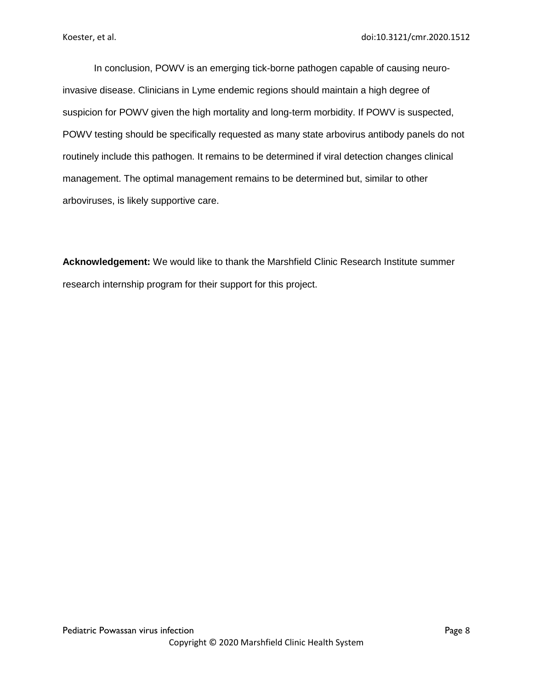In conclusion, POWV is an emerging tick-borne pathogen capable of causing neuroinvasive disease. Clinicians in Lyme endemic regions should maintain a high degree of suspicion for POWV given the high mortality and long-term morbidity. If POWV is suspected, POWV testing should be specifically requested as many state arbovirus antibody panels do not routinely include this pathogen. It remains to be determined if viral detection changes clinical management. The optimal management remains to be determined but, similar to other arboviruses, is likely supportive care.

**Acknowledgement:** We would like to thank the Marshfield Clinic Research Institute summer research internship program for their support for this project.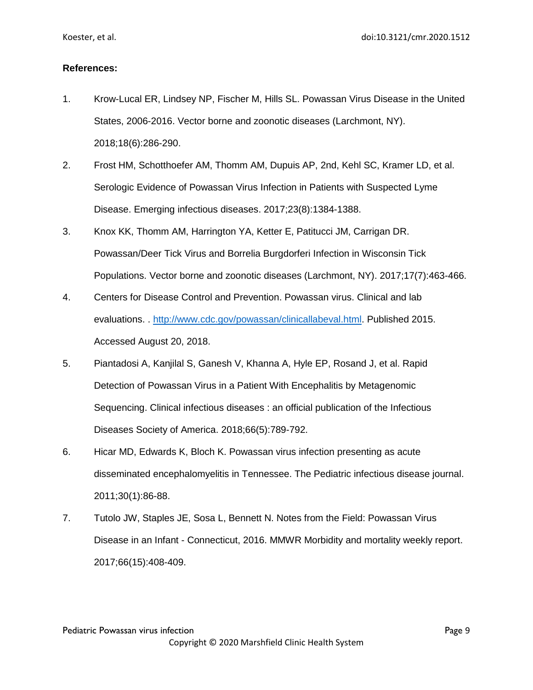## **References:**

- 1. Krow-Lucal ER, Lindsey NP, Fischer M, Hills SL. Powassan Virus Disease in the United States, 2006-2016. Vector borne and zoonotic diseases (Larchmont, NY). 2018;18(6):286-290.
- 2. Frost HM, Schotthoefer AM, Thomm AM, Dupuis AP, 2nd, Kehl SC, Kramer LD, et al. Serologic Evidence of Powassan Virus Infection in Patients with Suspected Lyme Disease. Emerging infectious diseases. 2017;23(8):1384-1388.
- 3. Knox KK, Thomm AM, Harrington YA, Ketter E, Patitucci JM, Carrigan DR. Powassan/Deer Tick Virus and Borrelia Burgdorferi Infection in Wisconsin Tick Populations. Vector borne and zoonotic diseases (Larchmont, NY). 2017;17(7):463-466.
- 4. Centers for Disease Control and Prevention. Powassan virus. Clinical and lab evaluations. . [http://www.cdc.gov/powassan/clinicallabeval.html.](http://www.cdc.gov/powassan/clinicallabeval.html) Published 2015. Accessed August 20, 2018.
- 5. Piantadosi A, Kanjilal S, Ganesh V, Khanna A, Hyle EP, Rosand J, et al. Rapid Detection of Powassan Virus in a Patient With Encephalitis by Metagenomic Sequencing. Clinical infectious diseases : an official publication of the Infectious Diseases Society of America. 2018;66(5):789-792.
- 6. Hicar MD, Edwards K, Bloch K. Powassan virus infection presenting as acute disseminated encephalomyelitis in Tennessee. The Pediatric infectious disease journal. 2011;30(1):86-88.
- 7. Tutolo JW, Staples JE, Sosa L, Bennett N. Notes from the Field: Powassan Virus Disease in an Infant - Connecticut, 2016. MMWR Morbidity and mortality weekly report. 2017;66(15):408-409.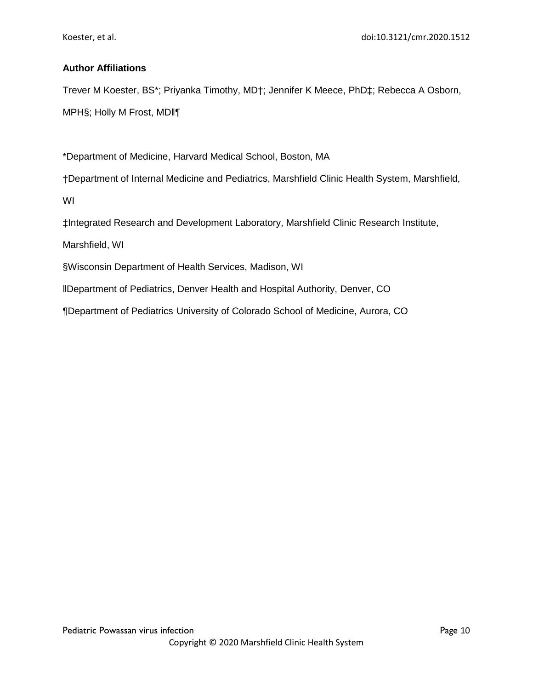# **Author Affiliations**

Trever M Koester, BS\*; Priyanka Timothy, MD†; Jennifer K Meece, PhD‡; Rebecca A Osborn, MPH§; Holly M Frost, MD‖¶

\*Department of Medicine, Harvard Medical School, Boston, MA

†Department of Internal Medicine and Pediatrics, Marshfield Clinic Health System, Marshfield,

WI

‡Integrated Research and Development Laboratory, Marshfield Clinic Research Institute,

Marshfield, WI

§Wisconsin Department of Health Services, Madison, WI

‖Department of Pediatrics, Denver Health and Hospital Authority, Denver, CO

¶Department of Pediatrics, University of Colorado School of Medicine, Aurora, CO